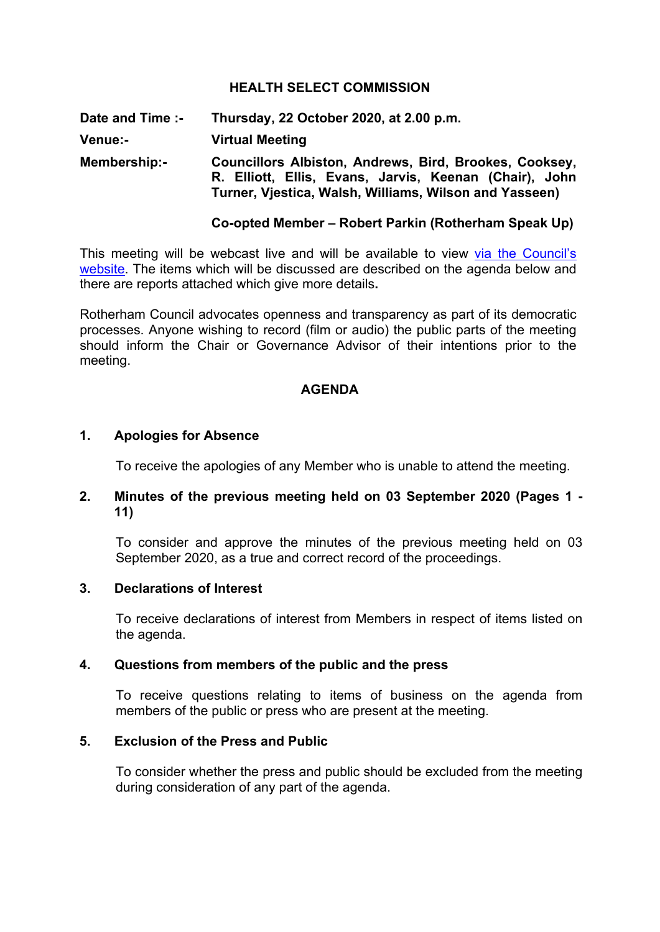## **HEALTH SELECT COMMISSION**

**Date and Time :- Thursday, 22 October 2020, at 2.00 p.m. Venue:- Virtual Meeting Membership:- Councillors Albiston, Andrews, Bird, Brookes, Cooksey, R. Elliott, Ellis, Evans, Jarvis, Keenan (Chair), John Turner, Vjestica, Walsh, Williams, Wilson and Yasseen)**

### **Co-opted Member – Robert Parkin (Rotherham Speak Up)**

This meeting will be webcast live and will be available to view via the [Council's](https://rotherham.public-i.tv/core/portal/home) [website.](https://rotherham.public-i.tv/core/portal/home) The items which will be discussed are described on the agenda below and there are reports attached which give more details**.**

Rotherham Council advocates openness and transparency as part of its democratic processes. Anyone wishing to record (film or audio) the public parts of the meeting should inform the Chair or Governance Advisor of their intentions prior to the meeting.

### **AGENDA**

# **1. Apologies for Absence**

To receive the apologies of any Member who is unable to attend the meeting.

## **2. Minutes of the previous meeting held on 03 September 2020 (Pages 1 - 11)**

To consider and approve the minutes of the previous meeting held on 03 September 2020, as a true and correct record of the proceedings.

## **3. Declarations of Interest**

To receive declarations of interest from Members in respect of items listed on the agenda.

### **4. Questions from members of the public and the press**

To receive questions relating to items of business on the agenda from members of the public or press who are present at the meeting.

### **5. Exclusion of the Press and Public**

To consider whether the press and public should be excluded from the meeting during consideration of any part of the agenda.